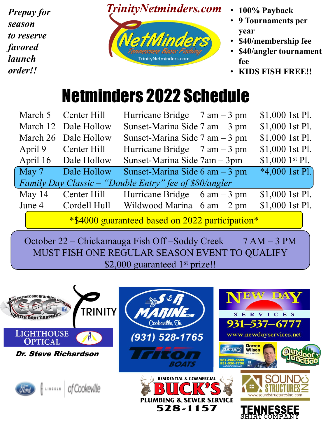*Prepay for season to reserve favored launch order!!*



- **100% Payback**
- **9 Tournaments per year**
- **\$40/membership fee**
- **\$40/angler tournament fee**
- **KIDS FISH FREE!!**

## Netminders 2022 Schedule

|                                                        | March 5 Center Hill  | Hurricane Bridge $7 \text{ am} - 3 \text{ pm}$ |  | \$1,000 1st Pl.  |  |  |  |
|--------------------------------------------------------|----------------------|------------------------------------------------|--|------------------|--|--|--|
|                                                        | March 12 Dale Hollow | Sunset-Marina Side $7$ am $-3$ pm              |  | \$1,000 1st Pl.  |  |  |  |
|                                                        | March 26 Dale Hollow | Sunset-Marina Side $7$ am $-3$ pm              |  | \$1,000 1st Pl.  |  |  |  |
|                                                        | April 9 Center Hill  | Hurricane Bridge $7 \text{ am} - 3 \text{ pm}$ |  | \$1,000 1st Pl.  |  |  |  |
|                                                        | April 16 Dale Hollow | Sunset-Marina Side 7am - 3pm                   |  | $$1,000$ 1st Pl. |  |  |  |
| May 7                                                  | Dale Hollow          | Sunset-Marina Side 6 am - 3 pm                 |  | $*4,000$ 1st Pl. |  |  |  |
| Family Day Classic – "Double Entry" fee of \$80/angler |                      |                                                |  |                  |  |  |  |
| May 14                                                 | Center Hill          | Hurricane Bridge $6 \text{ am} - 3 \text{ pm}$ |  | \$1,000 1st Pl.  |  |  |  |
|                                                        | June 4 Cordell Hull  | Wildwood Marina $6 \text{ am} - 2 \text{ pm}$  |  | \$1,000 1st Pl.  |  |  |  |
| *\$4000 guaranteed based on 2022 participation*        |                      |                                                |  |                  |  |  |  |

October 22 – Chickamauga Fish Off –Soddy Creek 7 AM – 3 PM MUST FISH ONE REGULAR SEASON EVENT TO QUALIFY \$2,000 guaranteed 1<sup>st</sup> prize!!

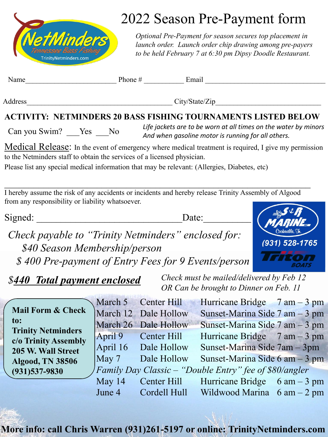

## 2022 Season Pre-Payment form

*Optional Pre-Payment for season secures top placement in launch order. Launch order chip drawing among pre-payers to be held February 7 at 6:30 pm Dipsy Doodle Restaurant.* 

|--|

Phone  $\#$   $\qquad \qquad$  Email

Address City/State/Zip

## **ACTIVITY: NETMINDERS 20 BASS FISHING TOURNAMENTS LISTED BELOW**

Can you Swim? Yes No *Life jackets are to be worn at all times on the water by minors And when gasoline motor is running for all others.*

Medical Release: In the event of emergency where medical treatment is required, I give my permission to the Netminders staff to obtain the services of a licensed physician.

Please list any special medical information that may be relevant: (Allergies, Diabetes, etc)

 $\mathcal{L}_\text{max}$  , and the contract of the contract of the contract of the contract of the contract of the contract of the contract of the contract of the contract of the contract of the contract of the contract of the contr I hereby assume the risk of any accidents or incidents and hereby release Trinity Assembly of Algood from any responsibility or liability whatsoever.

Signed: \_\_\_\_\_\_\_\_\_\_\_\_\_\_\_\_\_\_\_\_\_\_\_\_\_\_\_\_\_\_Date:\_\_\_\_\_\_\_\_\_\_\_



*Check payable to "Trinity Netminders" enclosed for: \$40 Season Membership/person \$ 400 Pre-payment of Entry Fees for 9 Events/person*

*\$440 Total payment enclosed*

*Check must be mailed/delivered by Feb 12 OR Can be brought to Dinner on Feb. 11*

|                                                   | March 5  | Center Hill          | Hurricane Bridge $7 \text{ am} - 3 \text{ pm}$         |  |
|---------------------------------------------------|----------|----------------------|--------------------------------------------------------|--|
| <b>Mail Form &amp; Check</b>                      |          | March 12 Dale Hollow | Sunset-Marina Side 7 am - 3 pm                         |  |
| to:                                               |          | March 26 Dale Hollow | Sunset-Marina Side 7 am - 3 pm                         |  |
| <b>Trinity Netminders</b><br>c/o Trinity Assembly | April 9  | Center Hill          | Hurricane Bridge $7 \text{ am} - 3 \text{ pm}$         |  |
| 205 W. Wall Street                                | April 16 | Dale Hollow          | Sunset-Marina Side 7am – 3pm                           |  |
| <b>Algood, TN 38506</b>                           | May 7    | Dale Hollow          | Sunset-Marina Side $6 \text{ am} - 3 \text{ pm}$       |  |
| $(931)537 - 9830$                                 |          |                      | Family Day Classic – "Double Entry" fee of \$80/angler |  |
|                                                   | May 14   | Center Hill          | Hurricane Bridge $6 \text{ am} - 3 \text{ pm}$         |  |
|                                                   | June 4   | Cordell Hull         | Wildwood Marina $6 \text{ am} - 2 \text{ pm}$          |  |

**More info: call Chris Warren (931)261-5197 or online: TrinityNetminders.com**